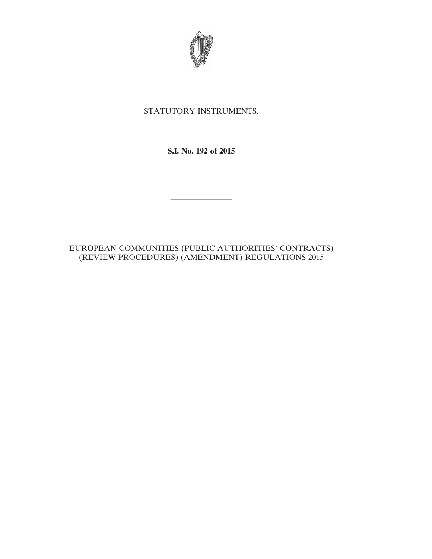

# STATUTORY INSTRUMENTS.

**S.I. No. 192 of 2015**

————————

EUROPEAN COMMUNITIES (PUBLIC AUTHORITIES' CONTRACTS) (REVIEW PROCEDURES) (AMENDMENT) REGULATIONS 2015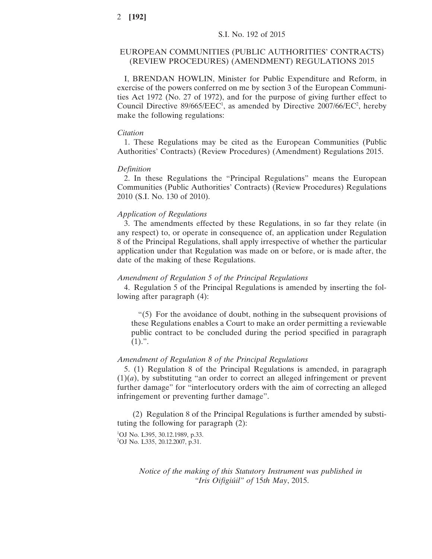## EUROPEAN COMMUNITIES (PUBLIC AUTHORITIES' CONTRACTS) (REVIEW PROCEDURES) (AMENDMENT) REGULATIONS 2015

I, BRENDAN HOWLIN, Minister for Public Expenditure and Reform, in exercise of the powers conferred on me by section 3 of the European Communities Act 1972 (No. 27 of 1972), and for the purpose of giving further effect to Council Directive 89/665/EEC<sup>1</sup>, as amended by Directive 2007/66/EC<sup>2</sup>, hereby make the following regulations:

## *Citation*

1. These Regulations may be cited as the European Communities (Public Authorities' Contracts) (Review Procedures) (Amendment) Regulations 2015.

### *Definition*

2. In these Regulations the "Principal Regulations" means the European Communities (Public Authorities' Contracts) (Review Procedures) Regulations 2010 (S.I. No. 130 of 2010).

## *Application of Regulations*

3. The amendments effected by these Regulations, in so far they relate (in any respect) to, or operate in consequence of, an application under Regulation 8 of the Principal Regulations, shall apply irrespective of whether the particular application under that Regulation was made on or before, or is made after, the date of the making of these Regulations.

### *Amendment of Regulation 5 of the Principal Regulations*

4. Regulation 5 of the Principal Regulations is amended by inserting the following after paragraph (4):

"(5) For the avoidance of doubt, nothing in the subsequent provisions of these Regulations enables a Court to make an order permitting a reviewable public contract to be concluded during the period specified in paragraph  $(1).$ ".

#### *Amendment of Regulation 8 of the Principal Regulations*

5. (1) Regulation 8 of the Principal Regulations is amended, in paragraph  $(1)(a)$ , by substituting "an order to correct an alleged infringement or prevent further damage" for "interlocutory orders with the aim of correcting an alleged infringement or preventing further damage".

(2) Regulation 8 of the Principal Regulations is further amended by substituting the following for paragraph (2):

1 OJ No. L395, 30.12.1989, p.33. 2 OJ No. L335, 20.12.2007, p.31.

> *Notice of the making of this Statutory Instrument was published in "Iris Oifigiúil" of* 15*th May*, 2015.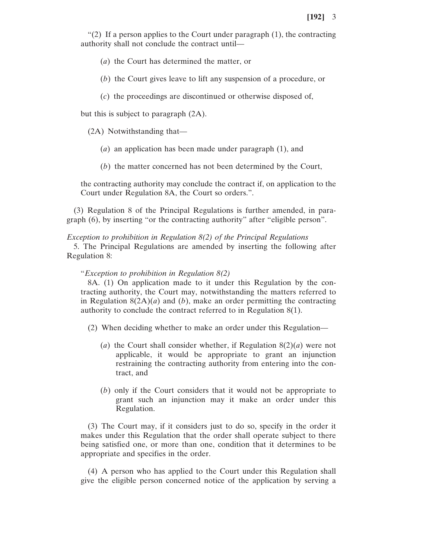$(2)$  If a person applies to the Court under paragraph  $(1)$ , the contracting authority shall not conclude the contract until—

(*a*) the Court has determined the matter, or

(*b*) the Court gives leave to lift any suspension of a procedure, or

(*c*) the proceedings are discontinued or otherwise disposed of,

but this is subject to paragraph (2A).

(2A) Notwithstanding that—

(*a*) an application has been made under paragraph (1), and

(*b*) the matter concerned has not been determined by the Court,

the contracting authority may conclude the contract if, on application to the Court under Regulation 8A, the Court so orders.".

(3) Regulation 8 of the Principal Regulations is further amended, in paragraph (6), by inserting "or the contracting authority" after "eligible person".

*Exception to prohibition in Regulation 8(2) of the Principal Regulations*

5. The Principal Regulations are amended by inserting the following after Regulation 8:

### "*Exception to prohibition in Regulation 8(2)*

8A. (1) On application made to it under this Regulation by the contracting authority, the Court may, notwithstanding the matters referred to in Regulation 8(2A)(*a*) and (*b*), make an order permitting the contracting authority to conclude the contract referred to in Regulation 8(1).

(2) When deciding whether to make an order under this Regulation—

- (*a*) the Court shall consider whether, if Regulation  $8(2)(a)$  were not applicable, it would be appropriate to grant an injunction restraining the contracting authority from entering into the contract, and
- (*b*) only if the Court considers that it would not be appropriate to grant such an injunction may it make an order under this Regulation.

(3) The Court may, if it considers just to do so, specify in the order it makes under this Regulation that the order shall operate subject to there being satisfied one, or more than one, condition that it determines to be appropriate and specifies in the order.

(4) A person who has applied to the Court under this Regulation shall give the eligible person concerned notice of the application by serving a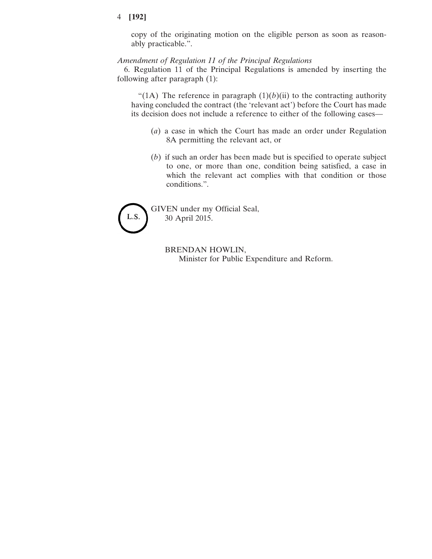## 4 **[192]**

copy of the originating motion on the eligible person as soon as reasonably practicable.".

## *Amendment of Regulation 11 of the Principal Regulations*

6. Regulation 11 of the Principal Regulations is amended by inserting the following after paragraph (1):

"(1A) The reference in paragraph  $(1)(b)(ii)$  to the contracting authority having concluded the contract (the 'relevant act') before the Court has made its decision does not include a reference to either of the following cases—

- (*a*) a case in which the Court has made an order under Regulation 8A permitting the relevant act, or
- (*b*) if such an order has been made but is specified to operate subject to one, or more than one, condition being satisfied, a case in which the relevant act complies with that condition or those conditions.".



GIVEN under my Official Seal, 30 April 2015.

> BRENDAN HOWLIN, Minister for Public Expenditure and Reform.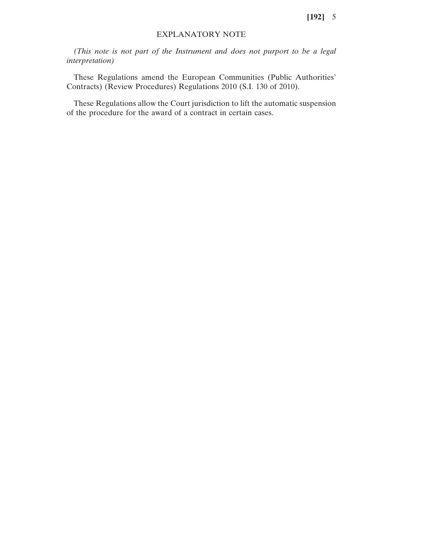**[192]** 5

## EXPLANATORY NOTE

*(This note is not part of the Instrument and does not purport to be a legal interpretation)*

These Regulations amend the European Communities (Public Authorities' Contracts) (Review Procedures) Regulations 2010 (S.I. 130 of 2010).

These Regulations allow the Court jurisdiction to lift the automatic suspension of the procedure for the award of a contract in certain cases.